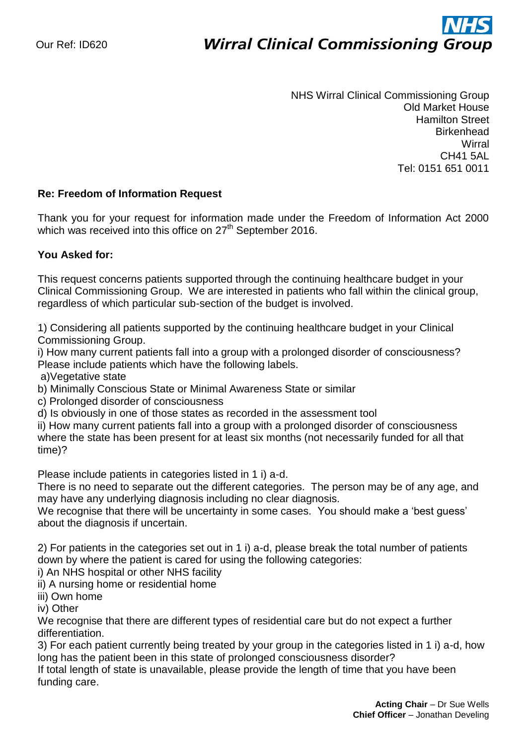# ì **Wirral Clinical Commissioning Group**

NHS Wirral Clinical Commissioning Group Old Market House Hamilton Street **Birkenhead Wirral** CH41 5AL Tel: 0151 651 0011

## **Re: Freedom of Information Request**

Thank you for your request for information made under the Freedom of Information Act 2000 which was received into this office on 27<sup>th</sup> September 2016.

## **You Asked for:**

This request concerns patients supported through the continuing healthcare budget in your Clinical Commissioning Group. We are interested in patients who fall within the clinical group, regardless of which particular sub-section of the budget is involved.

1) Considering all patients supported by the continuing healthcare budget in your Clinical Commissioning Group.

i) How many current patients fall into a group with a prolonged disorder of consciousness? Please include patients which have the following labels.

a)Vegetative state

b) Minimally Conscious State or Minimal Awareness State or similar

c) Prolonged disorder of consciousness

d) Is obviously in one of those states as recorded in the assessment tool

ii) How many current patients fall into a group with a prolonged disorder of consciousness where the state has been present for at least six months (not necessarily funded for all that time)?

Please include patients in categories listed in 1 i) a-d.

There is no need to separate out the different categories. The person may be of any age, and may have any underlying diagnosis including no clear diagnosis.

We recognise that there will be uncertainty in some cases. You should make a 'best guess' about the diagnosis if uncertain.

2) For patients in the categories set out in 1 i) a-d, please break the total number of patients down by where the patient is cared for using the following categories:

i) An NHS hospital or other NHS facility

ii) A nursing home or residential home

iii) Own home

iv) Other

We recognise that there are different types of residential care but do not expect a further differentiation.

3) For each patient currently being treated by your group in the categories listed in 1 i) a-d, how long has the patient been in this state of prolonged consciousness disorder?

If total length of state is unavailable, please provide the length of time that you have been funding care.